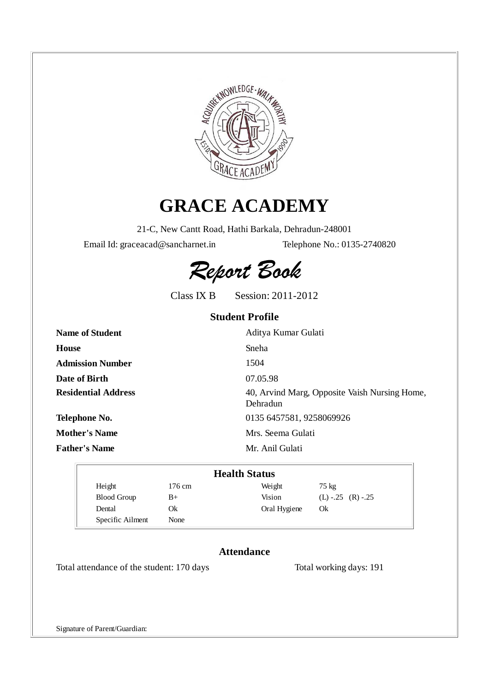

# **GRACE ACADEMY**

21-C, New Cantt Road, Hathi Barkala, Dehradun-248001

Email Id: graceacad@sancharnet.in Telephone No.: 0135-2740820

Report Book

Class IX B Session: 2011-2012

## **Student Profile**

| <b>Name of Student</b>     | Aditya Kumar Gulati                                       |
|----------------------------|-----------------------------------------------------------|
| House                      | Sneha                                                     |
| <b>Admission Number</b>    | 1504                                                      |
| Date of Birth              | 07.05.98                                                  |
| <b>Residential Address</b> | 40, Arvind Marg, Opposite Vaish Nursing Home,<br>Dehradun |
| Telephone No.              | 0135 6457581, 9258069926                                  |
| <b>Mother's Name</b>       | Mrs. Seema Gulati                                         |
| <b>Father's Name</b>       | Mr. Anil Gulati                                           |

| <b>Health Status</b> |        |              |                       |  |  |
|----------------------|--------|--------------|-----------------------|--|--|
| Height               | 176 cm | Weight       | $75 \text{ kg}$       |  |  |
| <b>Blood Group</b>   | B+     | Vision       | $(L)$ -.25 $(R)$ -.25 |  |  |
| Dental               | Ok     | Oral Hygiene | Ok                    |  |  |
| Specific Ailment     | None   |              |                       |  |  |

### **Attendance**

Total attendance of the student: 170 days Total working days: 191

Signature of Parent/Guardian: